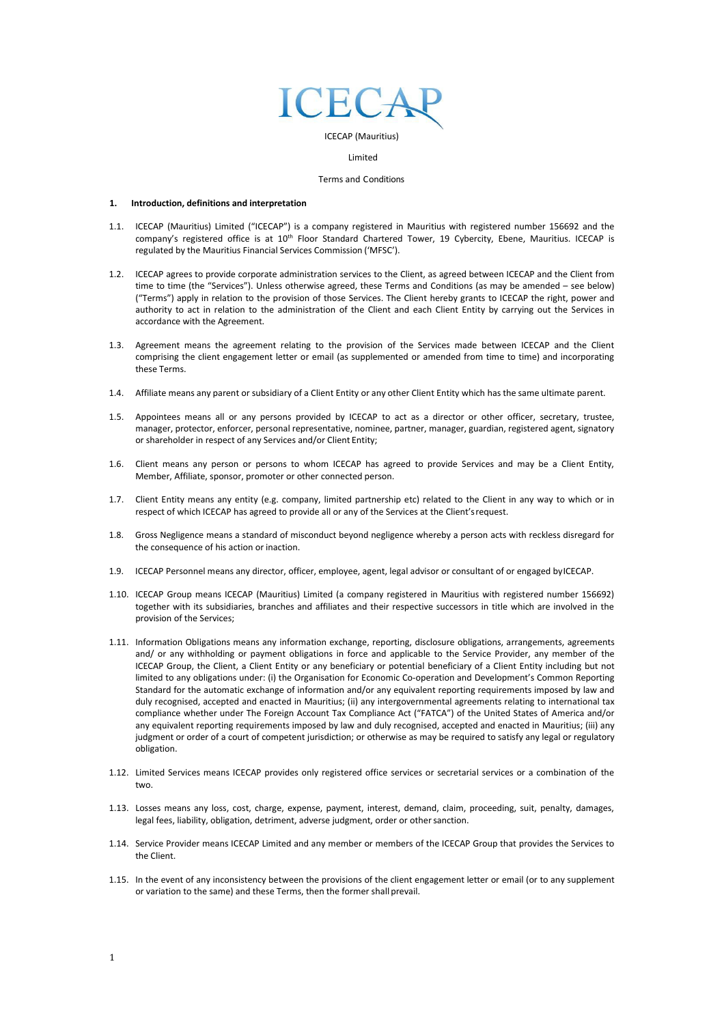

Limited

#### Terms and Conditions

#### **1. Introduction, definitions and interpretation**

- 1.1. ICECAP (Mauritius) Limited ("ICECAP") is a company registered in Mauritius with registered number 156692 and the company's registered office is at 10<sup>th</sup> Floor Standard Chartered Tower, 19 Cybercity, Ebene, Mauritius. ICECAP is regulated by the Mauritius Financial Services Commission ('MFSC').
- 1.2. ICECAP agrees to provide corporate administration services to the Client, as agreed between ICECAP and the Client from time to time (the "Services"). Unless otherwise agreed, these Terms and Conditions (as may be amended – see below) ("Terms") apply in relation to the provision of those Services. The Client hereby grants to ICECAP the right, power and authority to act in relation to the administration of the Client and each Client Entity by carrying out the Services in accordance with the Agreement.
- 1.3. Agreement means the agreement relating to the provision of the Services made between ICECAP and the Client comprising the client engagement letter or email (as supplemented or amended from time to time) and incorporating these Terms.
- 1.4. Affiliate means any parent or subsidiary of a Client Entity or any other Client Entity which has the same ultimate parent.
- 1.5. Appointees means all or any persons provided by ICECAP to act as a director or other officer, secretary, trustee, manager, protector, enforcer, personal representative, nominee, partner, manager, guardian, registered agent, signatory or shareholder in respect of any Services and/or Client Entity;
- 1.6. Client means any person or persons to whom ICECAP has agreed to provide Services and may be a Client Entity, Member, Affiliate, sponsor, promoter or other connected person.
- 1.7. Client Entity means any entity (e.g. company, limited partnership etc) related to the Client in any way to which or in respect of which ICECAP has agreed to provide all or any of the Services at the Client'srequest.
- 1.8. Gross Negligence means a standard of misconduct beyond negligence whereby a person acts with reckless disregard for the consequence of his action or inaction.
- 1.9. ICECAP Personnel means any director, officer, employee, agent, legal advisor or consultant of or engaged byICECAP.
- 1.10. ICECAP Group means ICECAP (Mauritius) Limited (a company registered in Mauritius with registered number 156692) together with its subsidiaries, branches and affiliates and their respective successors in title which are involved in the provision of the Services;
- 1.11. Information Obligations means any information exchange, reporting, disclosure obligations, arrangements, agreements and/ or any withholding or payment obligations in force and applicable to the Service Provider, any member of the ICECAP Group, the Client, a Client Entity or any beneficiary or potential beneficiary of a Client Entity including but not limited to any obligations under: (i) the Organisation for Economic Co-operation and Development's Common Reporting Standard for the automatic exchange of information and/or any equivalent reporting requirements imposed by law and duly recognised, accepted and enacted in Mauritius; (ii) any intergovernmental agreements relating to international tax compliance whether under The Foreign Account Tax Compliance Act ("FATCA") of the United States of America and/or any equivalent reporting requirements imposed by law and duly recognised, accepted and enacted in Mauritius; (iii) any judgment or order of a court of competent jurisdiction; or otherwise as may be required to satisfy any legal or regulatory obligation.
- 1.12. Limited Services means ICECAP provides only registered office services or secretarial services or a combination of the two.
- 1.13. Losses means any loss, cost, charge, expense, payment, interest, demand, claim, proceeding, suit, penalty, damages, legal fees, liability, obligation, detriment, adverse judgment, order or other sanction.
- 1.14. Service Provider means ICECAP Limited and any member or members of the ICECAP Group that provides the Services to the Client.
- 1.15. In the event of any inconsistency between the provisions of the client engagement letter or email (or to any supplement or variation to the same) and these Terms, then the former shall prevail.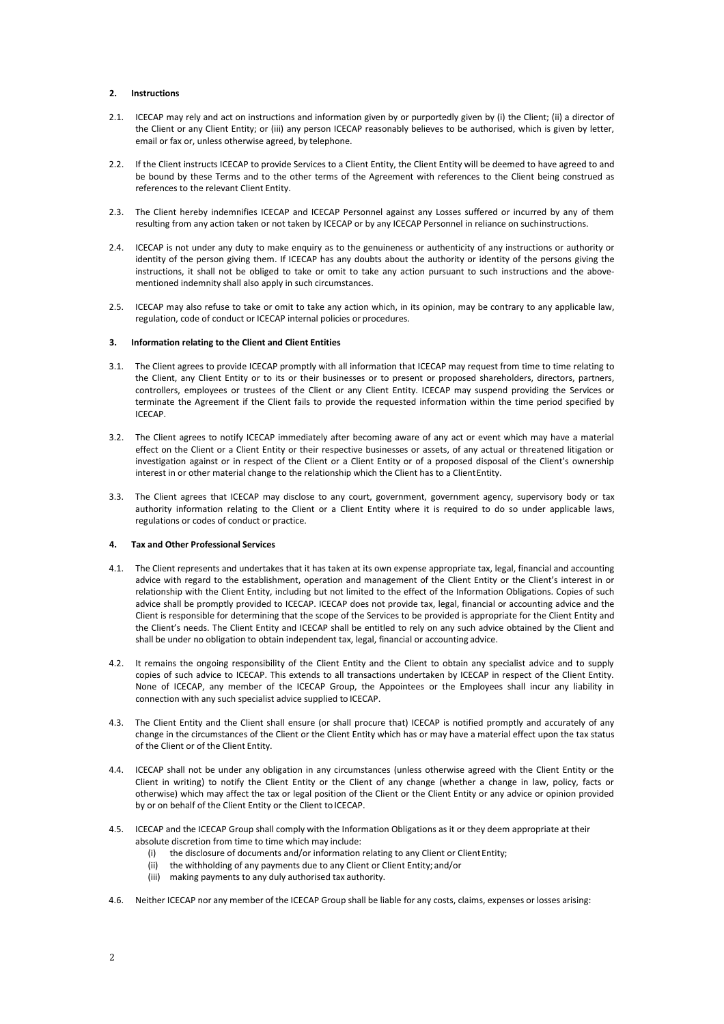# **2. Instructions**

- 2.1. ICECAP may rely and act on instructions and information given by or purportedly given by (i) the Client; (ii) a director of the Client or any Client Entity; or (iii) any person ICECAP reasonably believes to be authorised, which is given by letter, email or fax or, unless otherwise agreed, by telephone.
- 2.2. If the Client instructs ICECAP to provide Services to a Client Entity, the Client Entity will be deemed to have agreed to and be bound by these Terms and to the other terms of the Agreement with references to the Client being construed as references to the relevant Client Entity.
- 2.3. The Client hereby indemnifies ICECAP and ICECAP Personnel against any Losses suffered or incurred by any of them resulting from any action taken or not taken by ICECAP or by any ICECAP Personnel in reliance on suchinstructions.
- 2.4. ICECAP is not under any duty to make enquiry as to the genuineness or authenticity of any instructions or authority or identity of the person giving them. If ICECAP has any doubts about the authority or identity of the persons giving the instructions, it shall not be obliged to take or omit to take any action pursuant to such instructions and the abovementioned indemnity shall also apply in such circumstances.
- 2.5. ICECAP may also refuse to take or omit to take any action which, in its opinion, may be contrary to any applicable law, regulation, code of conduct or ICECAP internal policies or procedures.

#### **3. Information relating to the Client and Client Entities**

- 3.1. The Client agrees to provide ICECAP promptly with all information that ICECAP may request from time to time relating to the Client, any Client Entity or to its or their businesses or to present or proposed shareholders, directors, partners, controllers, employees or trustees of the Client or any Client Entity. ICECAP may suspend providing the Services or terminate the Agreement if the Client fails to provide the requested information within the time period specified by ICECAP.
- 3.2. The Client agrees to notify ICECAP immediately after becoming aware of any act or event which may have a material effect on the Client or a Client Entity or their respective businesses or assets, of any actual or threatened litigation or investigation against or in respect of the Client or a Client Entity or of a proposed disposal of the Client's ownership interest in or other material change to the relationship which the Client has to a ClientEntity.
- 3.3. The Client agrees that ICECAP may disclose to any court, government, government agency, supervisory body or tax authority information relating to the Client or a Client Entity where it is required to do so under applicable laws, regulations or codes of conduct or practice.

### **4. Tax and Other Professional Services**

- 4.1. The Client represents and undertakes that it has taken at its own expense appropriate tax, legal, financial and accounting advice with regard to the establishment, operation and management of the Client Entity or the Client's interest in or relationship with the Client Entity, including but not limited to the effect of the Information Obligations. Copies of such advice shall be promptly provided to ICECAP. ICECAP does not provide tax, legal, financial or accounting advice and the Client is responsible for determining that the scope of the Services to be provided is appropriate for the Client Entity and the Client's needs. The Client Entity and ICECAP shall be entitled to rely on any such advice obtained by the Client and shall be under no obligation to obtain independent tax, legal, financial or accounting advice.
- 4.2. It remains the ongoing responsibility of the Client Entity and the Client to obtain any specialist advice and to supply copies of such advice to ICECAP. This extends to all transactions undertaken by ICECAP in respect of the Client Entity. None of ICECAP, any member of the ICECAP Group, the Appointees or the Employees shall incur any liability in connection with any such specialist advice supplied to ICECAP.
- 4.3. The Client Entity and the Client shall ensure (or shall procure that) ICECAP is notified promptly and accurately of any change in the circumstances of the Client or the Client Entity which has or may have a material effect upon the tax status of the Client or of the Client Entity.
- 4.4. ICECAP shall not be under any obligation in any circumstances (unless otherwise agreed with the Client Entity or the Client in writing) to notify the Client Entity or the Client of any change (whether a change in law, policy, facts or otherwise) which may affect the tax or legal position of the Client or the Client Entity or any advice or opinion provided by or on behalf of the Client Entity or the Client to ICECAP.
- 4.5. ICECAP and the ICECAP Group shall comply with the Information Obligations as it or they deem appropriate at their absolute discretion from time to time which may include:
	- (i) the disclosure of documents and/or information relating to any Client or Client Entity;
	- (ii) the withholding of any payments due to any Client or Client Entity; and/or
	- (iii) making payments to any duly authorised tax authority.
- 4.6. Neither ICECAP nor any member of the ICECAP Group shall be liable for any costs, claims, expenses or losses arising: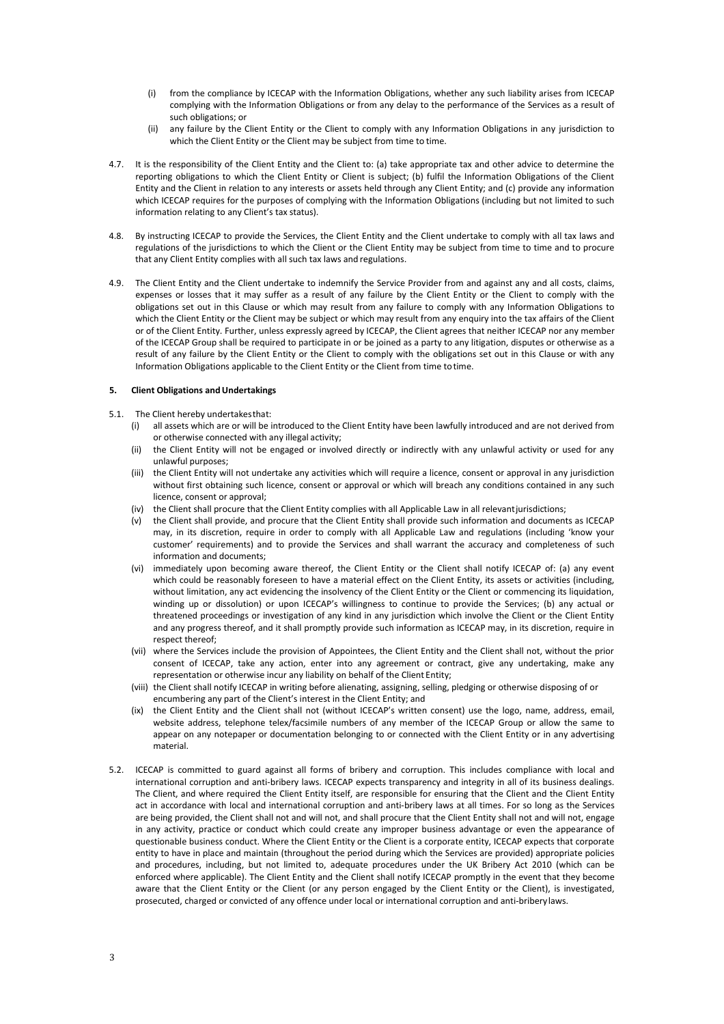- (i) from the compliance by ICECAP with the Information Obligations, whether any such liability arises from ICECAP complying with the Information Obligations or from any delay to the performance of the Services as a result of such obligations; or
- (ii) any failure by the Client Entity or the Client to comply with any Information Obligations in any jurisdiction to which the Client Entity or the Client may be subject from time to time.
- 4.7. It is the responsibility of the Client Entity and the Client to: (a) take appropriate tax and other advice to determine the reporting obligations to which the Client Entity or Client is subject; (b) fulfil the Information Obligations of the Client Entity and the Client in relation to any interests or assets held through any Client Entity; and (c) provide any information which ICECAP requires for the purposes of complying with the Information Obligations (including but not limited to such information relating to any Client's tax status).
- 4.8. By instructing ICECAP to provide the Services, the Client Entity and the Client undertake to comply with all tax laws and regulations of the jurisdictions to which the Client or the Client Entity may be subject from time to time and to procure that any Client Entity complies with all such tax laws and regulations.
- 4.9. The Client Entity and the Client undertake to indemnify the Service Provider from and against any and all costs, claims, expenses or losses that it may suffer as a result of any failure by the Client Entity or the Client to comply with the obligations set out in this Clause or which may result from any failure to comply with any Information Obligations to which the Client Entity or the Client may be subject or which may result from any enquiry into the tax affairs of the Client or of the Client Entity. Further, unless expressly agreed by ICECAP, the Client agrees that neither ICECAP nor any member of the ICECAP Group shall be required to participate in or be joined as a party to any litigation, disputes or otherwise as a result of any failure by the Client Entity or the Client to comply with the obligations set out in this Clause or with any Information Obligations applicable to the Client Entity or the Client from time totime.

### **5. Client Obligations andUndertakings**

- 5.1. The Client hereby undertakesthat:
	- (i) all assets which are or will be introduced to the Client Entity have been lawfully introduced and are not derived from or otherwise connected with any illegal activity;
	- (ii) the Client Entity will not be engaged or involved directly or indirectly with any unlawful activity or used for any unlawful purposes;
	- (iii) the Client Entity will not undertake any activities which will require a licence, consent or approval in any jurisdiction without first obtaining such licence, consent or approval or which will breach any conditions contained in any such licence, consent or approval;
	- (iv) the Client shall procure that the Client Entity complies with all Applicable Law in all relevantjurisdictions;
	- (v) the Client shall provide, and procure that the Client Entity shall provide such information and documents as ICECAP may, in its discretion, require in order to comply with all Applicable Law and regulations (including 'know your customer' requirements) and to provide the Services and shall warrant the accuracy and completeness of such information and documents;
	- (vi) immediately upon becoming aware thereof, the Client Entity or the Client shall notify ICECAP of: (a) any event which could be reasonably foreseen to have a material effect on the Client Entity, its assets or activities (including, without limitation, any act evidencing the insolvency of the Client Entity or the Client or commencing its liquidation, winding up or dissolution) or upon ICECAP's willingness to continue to provide the Services; (b) any actual or threatened proceedings or investigation of any kind in any jurisdiction which involve the Client or the Client Entity and any progress thereof, and it shall promptly provide such information as ICECAP may, in its discretion, require in respect thereof;
	- (vii) where the Services include the provision of Appointees, the Client Entity and the Client shall not, without the prior consent of ICECAP, take any action, enter into any agreement or contract, give any undertaking, make any representation or otherwise incur any liability on behalf of the Client Entity;
	- (viii) the Client shall notify ICECAP in writing before alienating, assigning, selling, pledging or otherwise disposing of or encumbering any part of the Client's interest in the Client Entity; and
	- (ix) the Client Entity and the Client shall not (without ICECAP's written consent) use the logo, name, address, email, website address, telephone telex/facsimile numbers of any member of the ICECAP Group or allow the same to appear on any notepaper or documentation belonging to or connected with the Client Entity or in any advertising material.
- 5.2. ICECAP is committed to guard against all forms of bribery and corruption. This includes compliance with local and international corruption and anti-bribery laws. ICECAP expects transparency and integrity in all of its business dealings. The Client, and where required the Client Entity itself, are responsible for ensuring that the Client and the Client Entity act in accordance with local and international corruption and anti-bribery laws at all times. For so long as the Services are being provided, the Client shall not and will not, and shall procure that the Client Entity shall not and will not, engage in any activity, practice or conduct which could create any improper business advantage or even the appearance of questionable business conduct. Where the Client Entity or the Client is a corporate entity, ICECAP expects that corporate entity to have in place and maintain (throughout the period during which the Services are provided) appropriate policies and procedures, including, but not limited to, adequate procedures under the UK Bribery Act 2010 (which can be enforced where applicable). The Client Entity and the Client shall notify ICECAP promptly in the event that they become aware that the Client Entity or the Client (or any person engaged by the Client Entity or the Client), is investigated, prosecuted, charged or convicted of any offence under local or international corruption and anti-briberylaws.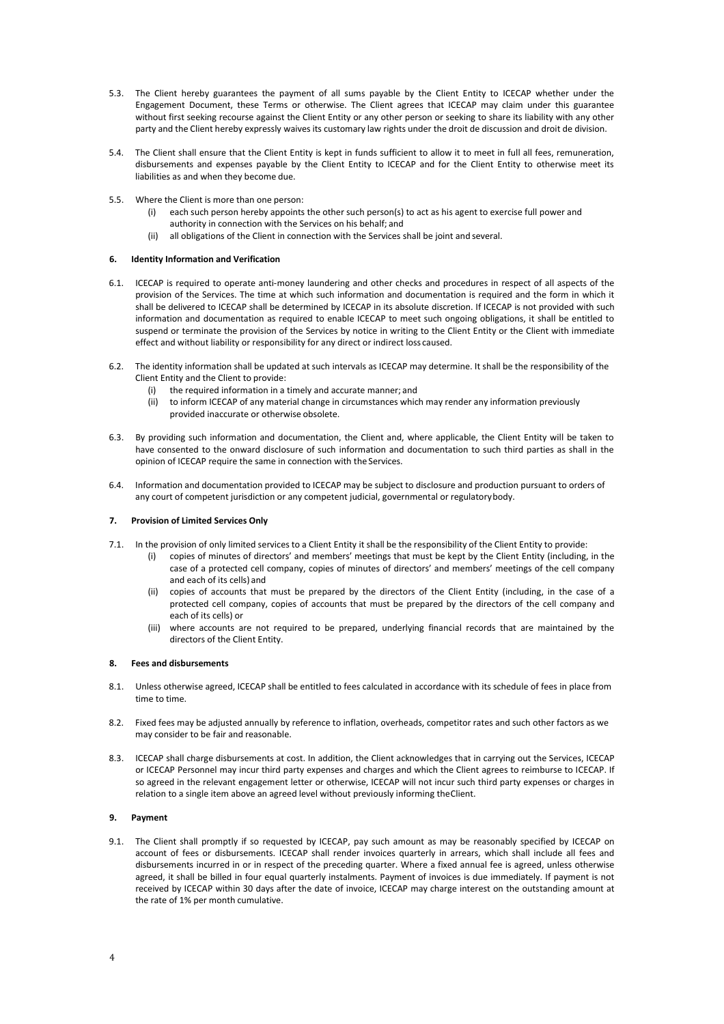- 5.3. The Client hereby guarantees the payment of all sums payable by the Client Entity to ICECAP whether under the Engagement Document, these Terms or otherwise. The Client agrees that ICECAP may claim under this guarantee without first seeking recourse against the Client Entity or any other person or seeking to share its liability with any other party and the Client hereby expressly waives its customary law rights under the droit de discussion and droit de division.
- 5.4. The Client shall ensure that the Client Entity is kept in funds sufficient to allow it to meet in full all fees, remuneration, disbursements and expenses payable by the Client Entity to ICECAP and for the Client Entity to otherwise meet its liabilities as and when they become due.
- 5.5. Where the Client is more than one person:
	- (i) each such person hereby appoints the other such person(s) to act as his agent to exercise full power and authority in connection with the Services on his behalf; and
	- (ii) all obligations of the Client in connection with the Services shall be joint and several.

### **6. Identity Information and Verification**

- 6.1. ICECAP is required to operate anti-money laundering and other checks and procedures in respect of all aspects of the provision of the Services. The time at which such information and documentation is required and the form in which it shall be delivered to ICECAP shall be determined by ICECAP in its absolute discretion. If ICECAP is not provided with such information and documentation as required to enable ICECAP to meet such ongoing obligations, it shall be entitled to suspend or terminate the provision of the Services by notice in writing to the Client Entity or the Client with immediate effect and without liability or responsibility for any direct or indirect loss caused.
- 6.2. The identity information shall be updated at such intervals as ICECAP may determine. It shall be the responsibility of the Client Entity and the Client to provide:
	- (i) the required information in a timely and accurate manner; and
	- (ii) to inform ICECAP of any material change in circumstances which may render any information previously provided inaccurate or otherwise obsolete.
- 6.3. By providing such information and documentation, the Client and, where applicable, the Client Entity will be taken to have consented to the onward disclosure of such information and documentation to such third parties as shall in the opinion of ICECAP require the same in connection with the Services.
- 6.4. Information and documentation provided to ICECAP may be subject to disclosure and production pursuant to orders of any court of competent jurisdiction or any competent judicial, governmental or regulatorybody.

### **7. Provision of Limited Services Only**

- 7.1. In the provision of only limited services to a Client Entity it shall be the responsibility of the Client Entity to provide:
	- (i) copies of minutes of directors' and members' meetings that must be kept by the Client Entity (including, in the case of a protected cell company, copies of minutes of directors' and members' meetings of the cell company and each of its cells) and
	- (ii) copies of accounts that must be prepared by the directors of the Client Entity (including, in the case of a protected cell company, copies of accounts that must be prepared by the directors of the cell company and each of its cells) or
	- (iii) where accounts are not required to be prepared, underlying financial records that are maintained by the directors of the Client Entity.

#### **8. Fees and disbursements**

- 8.1. Unless otherwise agreed, ICECAP shall be entitled to fees calculated in accordance with its schedule of fees in place from time to time.
- 8.2. Fixed fees may be adjusted annually by reference to inflation, overheads, competitor rates and such other factors as we may consider to be fair and reasonable.
- 8.3. ICECAP shall charge disbursements at cost. In addition, the Client acknowledges that in carrying out the Services, ICECAP or ICECAP Personnel may incur third party expenses and charges and which the Client agrees to reimburse to ICECAP. If so agreed in the relevant engagement letter or otherwise, ICECAP will not incur such third party expenses or charges in relation to a single item above an agreed level without previously informing theClient.

### **9. Payment**

9.1. The Client shall promptly if so requested by ICECAP, pay such amount as may be reasonably specified by ICECAP on account of fees or disbursements. ICECAP shall render invoices quarterly in arrears, which shall include all fees and disbursements incurred in or in respect of the preceding quarter. Where a fixed annual fee is agreed, unless otherwise agreed, it shall be billed in four equal quarterly instalments. Payment of invoices is due immediately. If payment is not received by ICECAP within 30 days after the date of invoice, ICECAP may charge interest on the outstanding amount at the rate of 1% per month cumulative.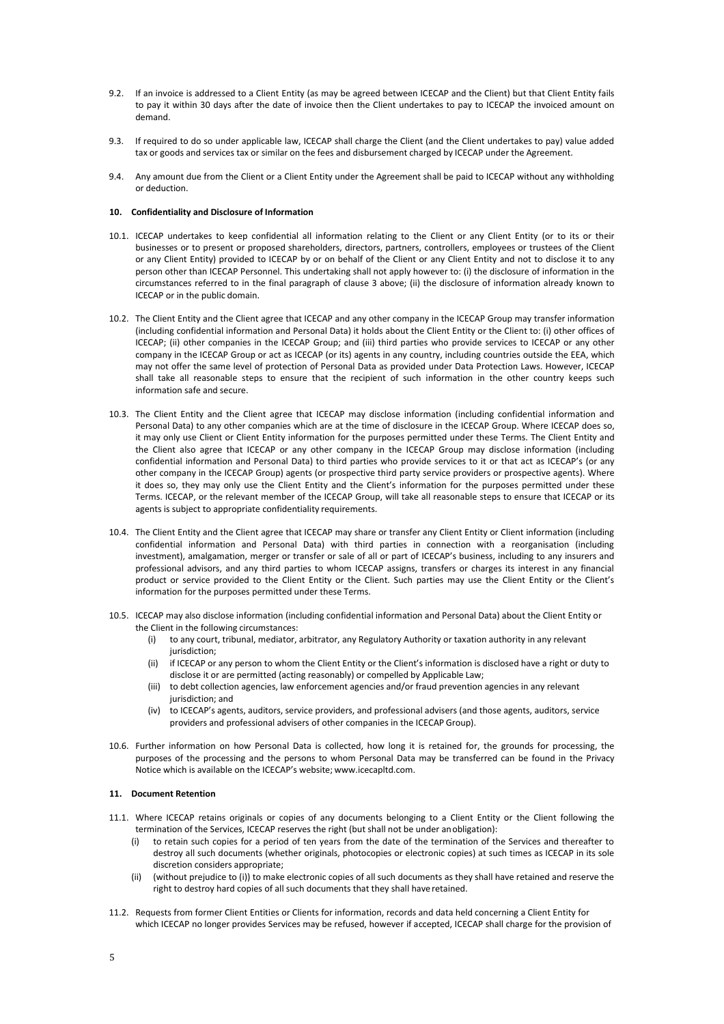- 9.2. If an invoice is addressed to a Client Entity (as may be agreed between ICECAP and the Client) but that Client Entity fails to pay it within 30 days after the date of invoice then the Client undertakes to pay to ICECAP the invoiced amount on demand.
- 9.3. If required to do so under applicable law, ICECAP shall charge the Client (and the Client undertakes to pay) value added tax or goods and services tax or similar on the fees and disbursement charged by ICECAP under the Agreement.
- 9.4. Any amount due from the Client or a Client Entity under the Agreement shall be paid to ICECAP without any withholding or deduction.

### **10. Confidentiality and Disclosure of Information**

- 10.1. ICECAP undertakes to keep confidential all information relating to the Client or any Client Entity (or to its or their businesses or to present or proposed shareholders, directors, partners, controllers, employees or trustees of the Client or any Client Entity) provided to ICECAP by or on behalf of the Client or any Client Entity and not to disclose it to any person other than ICECAP Personnel. This undertaking shall not apply however to: (i) the disclosure of information in the circumstances referred to in the final paragraph of clause 3 above; (ii) the disclosure of information already known to ICECAP or in the public domain.
- 10.2. The Client Entity and the Client agree that ICECAP and any other company in the ICECAP Group may transfer information (including confidential information and Personal Data) it holds about the Client Entity or the Client to: (i) other offices of ICECAP; (ii) other companies in the ICECAP Group; and (iii) third parties who provide services to ICECAP or any other company in the ICECAP Group or act as ICECAP (or its) agents in any country, including countries outside the EEA, which may not offer the same level of protection of Personal Data as provided under Data Protection Laws. However, ICECAP shall take all reasonable steps to ensure that the recipient of such information in the other country keeps such information safe and secure.
- 10.3. The Client Entity and the Client agree that ICECAP may disclose information (including confidential information and Personal Data) to any other companies which are at the time of disclosure in the ICECAP Group. Where ICECAP does so, it may only use Client or Client Entity information for the purposes permitted under these Terms. The Client Entity and the Client also agree that ICECAP or any other company in the ICECAP Group may disclose information (including confidential information and Personal Data) to third parties who provide services to it or that act as ICECAP's (or any other company in the ICECAP Group) agents (or prospective third party service providers or prospective agents). Where it does so, they may only use the Client Entity and the Client's information for the purposes permitted under these Terms. ICECAP, or the relevant member of the ICECAP Group, will take all reasonable steps to ensure that ICECAP or its agents is subject to appropriate confidentiality requirements.
- 10.4. The Client Entity and the Client agree that ICECAP may share or transfer any Client Entity or Client information (including confidential information and Personal Data) with third parties in connection with a reorganisation (including investment), amalgamation, merger or transfer or sale of all or part of ICECAP's business, including to any insurers and professional advisors, and any third parties to whom ICECAP assigns, transfers or charges its interest in any financial product or service provided to the Client Entity or the Client. Such parties may use the Client Entity or the Client's information for the purposes permitted under these Terms.
- 10.5. ICECAP may also disclose information (including confidential information and Personal Data) about the Client Entity or the Client in the following circumstances:
	- (i) to any court, tribunal, mediator, arbitrator, any Regulatory Authority or taxation authority in any relevant jurisdiction;
	- (ii) if ICECAP or any person to whom the Client Entity or the Client's information is disclosed have a right or duty to disclose it or are permitted (acting reasonably) or compelled by Applicable Law;
	- (iii) to debt collection agencies, law enforcement agencies and/or fraud prevention agencies in any relevant jurisdiction; and
	- (iv) to ICECAP's agents, auditors, service providers, and professional advisers (and those agents, auditors, service providers and professional advisers of other companies in the ICECAP Group).
- 10.6. Further information on how Personal Data is collected, how long it is retained for, the grounds for processing, the purposes of the processing and the persons to whom Personal Data may be transferred can be found in the Privacy Notice which is available on the ICECAP's website; [www.icecapltd.com.](http://www.icecapltd.com/)

### **11. Document Retention**

- 11.1. Where ICECAP retains originals or copies of any documents belonging to a Client Entity or the Client following the termination of the Services, ICECAP reserves the right (but shall not be under anobligation):
	- (i) to retain such copies for a period of ten years from the date of the termination of the Services and thereafter to destroy all such documents (whether originals, photocopies or electronic copies) at such times as ICECAP in its sole discretion considers appropriate;
	- (ii) (without prejudice to (i)) to make electronic copies of all such documents as they shall have retained and reserve the right to destroy hard copies of all such documents that they shall have retained.
- 11.2. Requests from former Client Entities or Clients for information, records and data held concerning a Client Entity for which ICECAP no longer provides Services may be refused, however if accepted, ICECAP shall charge for the provision of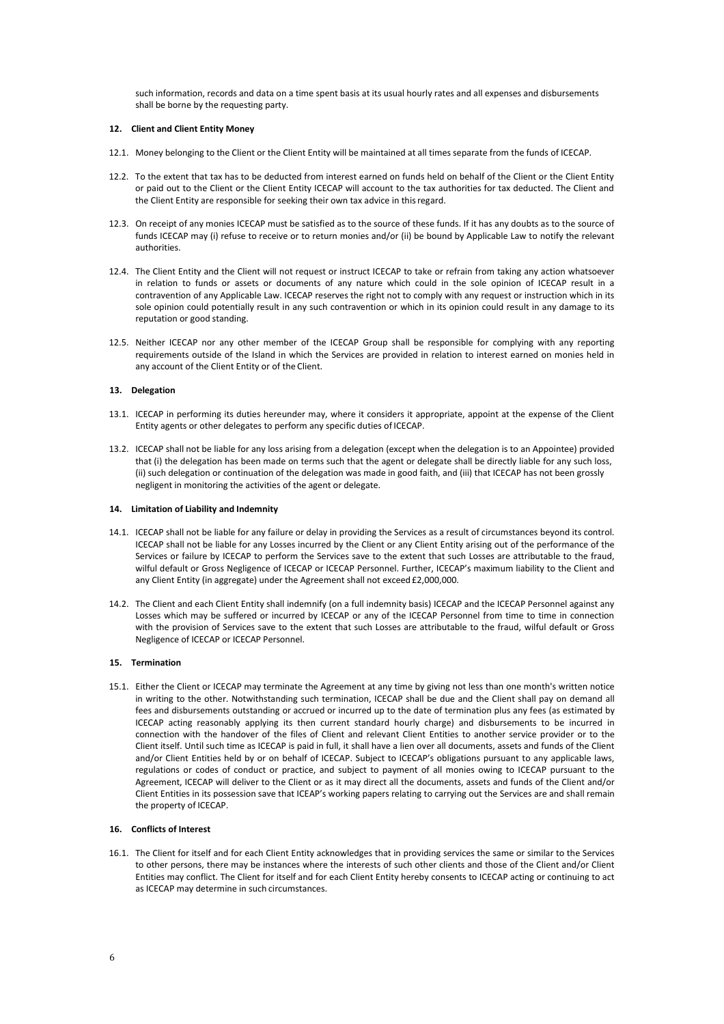such information, records and data on a time spent basis at its usual hourly rates and all expenses and disbursements shall be borne by the requesting party.

#### **12. Client and Client Entity Money**

- 12.1. Money belonging to the Client or the Client Entity will be maintained at all times separate from the funds of ICECAP.
- 12.2. To the extent that tax has to be deducted from interest earned on funds held on behalf of the Client or the Client Entity or paid out to the Client or the Client Entity ICECAP will account to the tax authorities for tax deducted. The Client and the Client Entity are responsible for seeking their own tax advice in thisregard.
- 12.3. On receipt of any monies ICECAP must be satisfied as to the source of these funds. If it has any doubts as to the source of funds ICECAP may (i) refuse to receive or to return monies and/or (ii) be bound by Applicable Law to notify the relevant authorities.
- 12.4. The Client Entity and the Client will not request or instruct ICECAP to take or refrain from taking any action whatsoever in relation to funds or assets or documents of any nature which could in the sole opinion of ICECAP result in a contravention of any Applicable Law. ICECAP reserves the right not to comply with any request or instruction which in its sole opinion could potentially result in any such contravention or which in its opinion could result in any damage to its reputation or good standing.
- 12.5. Neither ICECAP nor any other member of the ICECAP Group shall be responsible for complying with any reporting requirements outside of the Island in which the Services are provided in relation to interest earned on monies held in any account of the Client Entity or of the Client.

### **13. Delegation**

- 13.1. ICECAP in performing its duties hereunder may, where it considers it appropriate, appoint at the expense of the Client Entity agents or other delegates to perform any specific duties of ICECAP.
- 13.2. ICECAP shall not be liable for any loss arising from a delegation (except when the delegation is to an Appointee) provided that (i) the delegation has been made on terms such that the agent or delegate shall be directly liable for any such loss, (ii) such delegation or continuation of the delegation was made in good faith, and (iii) that ICECAP has not been grossly negligent in monitoring the activities of the agent or delegate.

#### **14. Limitation of Liability and Indemnity**

- 14.1. ICECAP shall not be liable for any failure or delay in providing the Services as a result of circumstances beyond its control. ICECAP shall not be liable for any Losses incurred by the Client or any Client Entity arising out of the performance of the Services or failure by ICECAP to perform the Services save to the extent that such Losses are attributable to the fraud, wilful default or Gross Negligence of ICECAP or ICECAP Personnel. Further, ICECAP's maximum liability to the Client and any Client Entity (in aggregate) under the Agreement shall not exceed £2,000,000.
- 14.2. The Client and each Client Entity shall indemnify (on a full indemnity basis) ICECAP and the ICECAP Personnel against any Losses which may be suffered or incurred by ICECAP or any of the ICECAP Personnel from time to time in connection with the provision of Services save to the extent that such Losses are attributable to the fraud, wilful default or Gross Negligence of ICECAP or ICECAP Personnel.

### **15. Termination**

15.1. Either the Client or ICECAP may terminate the Agreement at any time by giving not less than one month's written notice in writing to the other. Notwithstanding such termination, ICECAP shall be due and the Client shall pay on demand all fees and disbursements outstanding or accrued or incurred up to the date of termination plus any fees (as estimated by ICECAP acting reasonably applying its then current standard hourly charge) and disbursements to be incurred in connection with the handover of the files of Client and relevant Client Entities to another service provider or to the Client itself. Until such time as ICECAP is paid in full, it shall have a lien over all documents, assets and funds of the Client and/or Client Entities held by or on behalf of ICECAP. Subject to ICECAP's obligations pursuant to any applicable laws, regulations or codes of conduct or practice, and subject to payment of all monies owing to ICECAP pursuant to the Agreement, ICECAP will deliver to the Client or as it may direct all the documents, assets and funds of the Client and/or Client Entities in its possession save that ICEAP's working papers relating to carrying out the Services are and shall remain the property of ICECAP.

## **16. Conflicts of Interest**

16.1. The Client for itself and for each Client Entity acknowledges that in providing services the same or similar to the Services to other persons, there may be instances where the interests of such other clients and those of the Client and/or Client Entities may conflict. The Client for itself and for each Client Entity hereby consents to ICECAP acting or continuing to act as ICECAP may determine in such circumstances.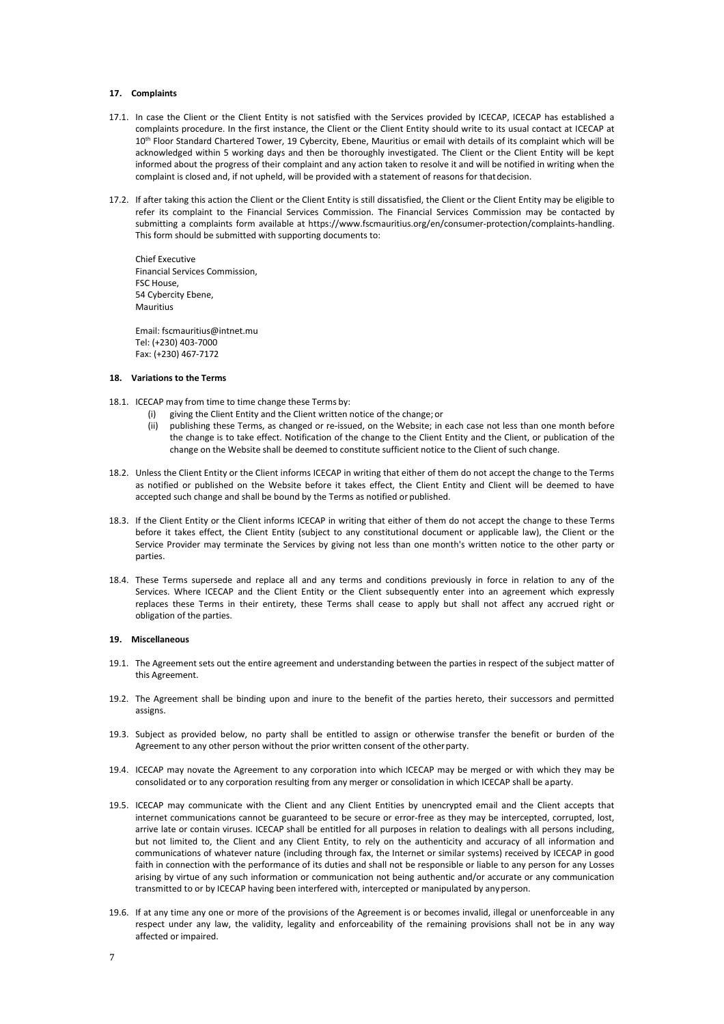#### **17. Complaints**

- 17.1. In case the Client or the Client Entity is not satisfied with the Services provided by ICECAP, ICECAP has established a complaints procedure. In the first instance, the Client or the Client Entity should write to its usual contact at ICECAP at 10<sup>th</sup> Floor Standard Chartered Tower, 19 Cybercity, Ebene, Mauritius or email with details of its complaint which will be acknowledged within 5 working days and then be thoroughly investigated. The Client or the Client Entity will be kept informed about the progress of their complaint and any action taken to resolve it and will be notified in writing when the complaint is closed and, if not upheld, will be provided with a statement of reasons for thatdecision.
- 17.2. If after taking this action the Client or the Client Entity is still dissatisfied, the Client or the Client Entity may be eligible to refer its complaint to the Financial Services Commission. The Financial Services Commission may be contacted by submitting a complaints form available at [https://www.fscmauritius.org/en/consumer-protection/complaints-handling.](https://www.fscmauritius.org/en/consumer-protection/complaints-handling)  This form should be submitted with supporting documents to:

Chief Executive Financial Services Commission, FSC House, 54 Cybercity Ebene, Mauritius

Email: [fscmauritius@intnet.mu](mailto:%20fscmauritius@intnet.mu) Tel: (+230) 403-7000 Fax: (+230) 467-7172

### **18. Variations to the Terms**

- 18.1. ICECAP may from time to time change these Terms by:
	- (i) giving the Client Entity and the Client written notice of the change; or
	- (ii) publishing these Terms, as changed or re-issued, on the Website; in each case not less than one month before the change is to take effect. Notification of the change to the Client Entity and the Client, or publication of the change on the Website shall be deemed to constitute sufficient notice to the Client of such change.
- 18.2. Unless the Client Entity or the Client informs ICECAP in writing that either of them do not accept the change to the Terms as notified or published on the Website before it takes effect, the Client Entity and Client will be deemed to have accepted such change and shall be bound by the Terms as notified or published.
- 18.3. If the Client Entity or the Client informs ICECAP in writing that either of them do not accept the change to these Terms before it takes effect, the Client Entity (subject to any constitutional document or applicable law), the Client or the Service Provider may terminate the Services by giving not less than one month's written notice to the other party or parties.
- 18.4. These Terms supersede and replace all and any terms and conditions previously in force in relation to any of the Services. Where ICECAP and the Client Entity or the Client subsequently enter into an agreement which expressly replaces these Terms in their entirety, these Terms shall cease to apply but shall not affect any accrued right or obligation of the parties.

## **19. Miscellaneous**

- 19.1. The Agreement sets out the entire agreement and understanding between the parties in respect of the subject matter of this Agreement.
- 19.2. The Agreement shall be binding upon and inure to the benefit of the parties hereto, their successors and permitted assigns.
- 19.3. Subject as provided below, no party shall be entitled to assign or otherwise transfer the benefit or burden of the Agreement to any other person without the prior written consent of the other party.
- 19.4. ICECAP may novate the Agreement to any corporation into which ICECAP may be merged or with which they may be consolidated or to any corporation resulting from any merger or consolidation in which ICECAP shall be aparty.
- 19.5. ICECAP may communicate with the Client and any Client Entities by unencrypted email and the Client accepts that internet communications cannot be guaranteed to be secure or error-free as they may be intercepted, corrupted, lost, arrive late or contain viruses. ICECAP shall be entitled for all purposes in relation to dealings with all persons including, but not limited to, the Client and any Client Entity, to rely on the authenticity and accuracy of all information and communications of whatever nature (including through fax, the Internet or similar systems) received by ICECAP in good faith in connection with the performance of its duties and shall not be responsible or liable to any person for any Losses arising by virtue of any such information or communication not being authentic and/or accurate or any communication transmitted to or by ICECAP having been interfered with, intercepted or manipulated by anyperson.
- 19.6. If at any time any one or more of the provisions of the Agreement is or becomes invalid, illegal or unenforceable in any respect under any law, the validity, legality and enforceability of the remaining provisions shall not be in any way affected or impaired.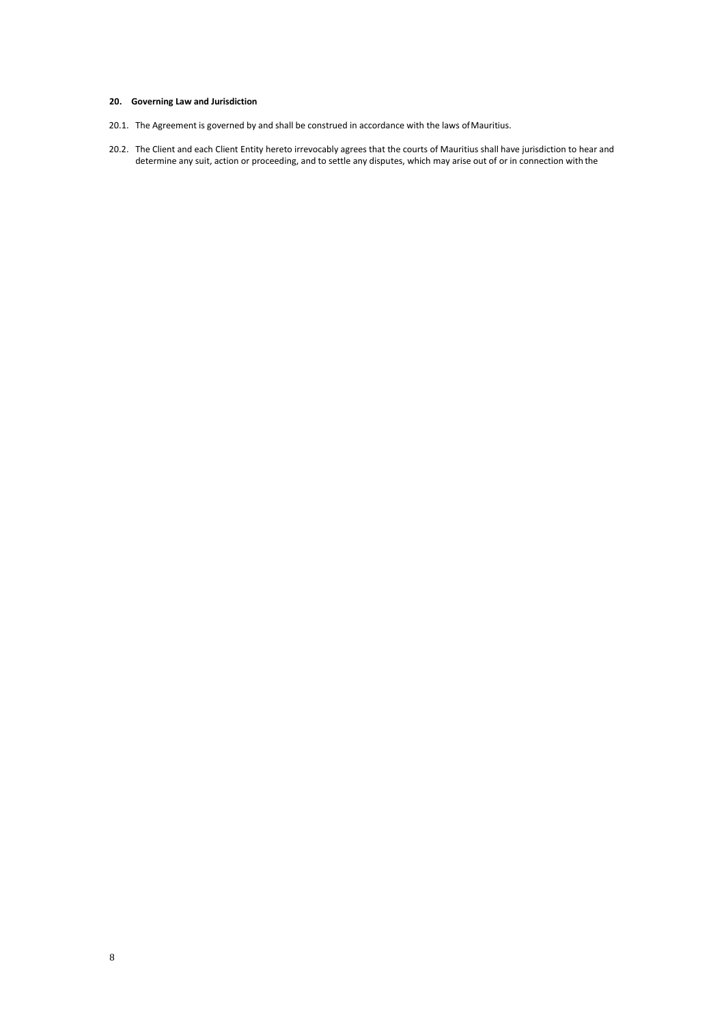# **20. Governing Law and Jurisdiction**

- 20.1. The Agreement is governed by and shall be construed in accordance with the laws ofMauritius.
- 20.2. The Client and each Client Entity hereto irrevocably agrees that the courts of Mauritius shall have jurisdiction to hear and determine any suit, action or proceeding, and to settle any disputes, which may arise out of or in connection with the